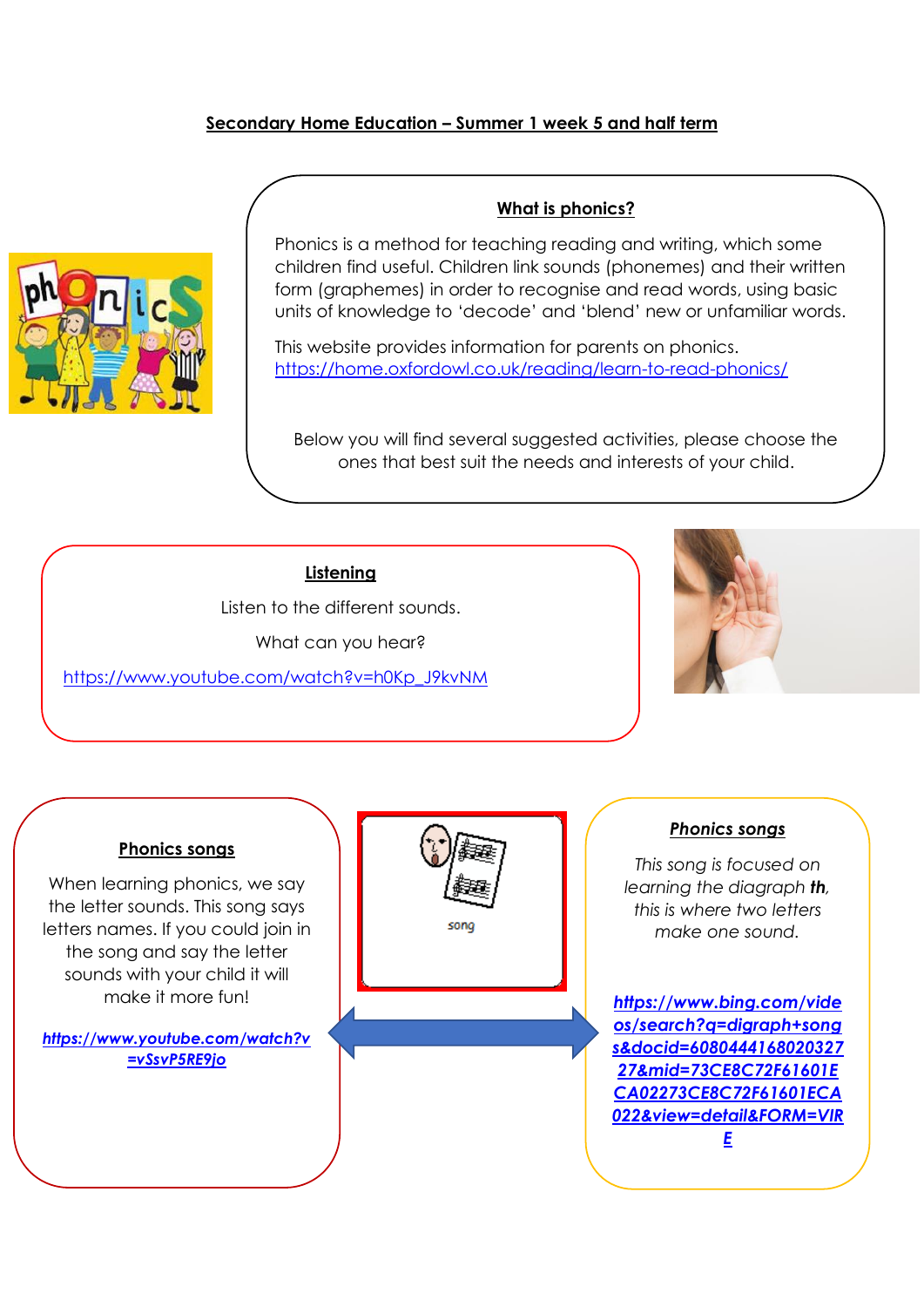### **Secondary Home Education – Summer 1 week 5 and half term**



### **What is phonics?**

Phonics is a method for teaching reading and writing, which some children find useful. Children link sounds (phonemes) and their written form (graphemes) in order to recognise and read words, using basic units of knowledge to 'decode' and 'blend' new or unfamiliar words.

This website provides information for parents on phonics. <https://home.oxfordowl.co.uk/reading/learn-to-read-phonics/>

Below you will find several suggested activities, please choose the ones that best suit the needs and interests of your child.

### **Listening**

Listen to the different sounds.

What can you hear?

[https://www.youtube.com/watch?v=h0Kp\\_J9kvNM](https://www.youtube.com/watch?v=h0Kp_J9kvNM)



#### **Phonics songs**

When learning phonics, we say the letter sounds. This song says letters names. If you could join in the song and say the letter sounds with your child it will make it more fun!

*[https://www.youtube.com/watch?v](https://www.youtube.com/watch?v=vSsvP5RE9jo) [=vSsvP5RE9jo](https://www.youtube.com/watch?v=vSsvP5RE9jo)*



### *Phonics songs*

*This song is focused on learning the diagraph th, this is where two letters make one sound.*

*[https://www.bing.com/vide](https://www.bing.com/videos/search?q=digraph+songs&docid=608044416802032727&mid=73CE8C72F61601ECA02273CE8C72F61601ECA022&view=detail&FORM=VIRE) [os/search?q=digraph+song](https://www.bing.com/videos/search?q=digraph+songs&docid=608044416802032727&mid=73CE8C72F61601ECA02273CE8C72F61601ECA022&view=detail&FORM=VIRE) [s&docid=6080444168020327](https://www.bing.com/videos/search?q=digraph+songs&docid=608044416802032727&mid=73CE8C72F61601ECA02273CE8C72F61601ECA022&view=detail&FORM=VIRE) [27&mid=73CE8C72F61601E](https://www.bing.com/videos/search?q=digraph+songs&docid=608044416802032727&mid=73CE8C72F61601ECA02273CE8C72F61601ECA022&view=detail&FORM=VIRE) [CA02273CE8C72F61601ECA](https://www.bing.com/videos/search?q=digraph+songs&docid=608044416802032727&mid=73CE8C72F61601ECA02273CE8C72F61601ECA022&view=detail&FORM=VIRE) [022&view=detail&FORM=VIR](https://www.bing.com/videos/search?q=digraph+songs&docid=608044416802032727&mid=73CE8C72F61601ECA02273CE8C72F61601ECA022&view=detail&FORM=VIRE) [E](https://www.bing.com/videos/search?q=digraph+songs&docid=608044416802032727&mid=73CE8C72F61601ECA02273CE8C72F61601ECA022&view=detail&FORM=VIRE)*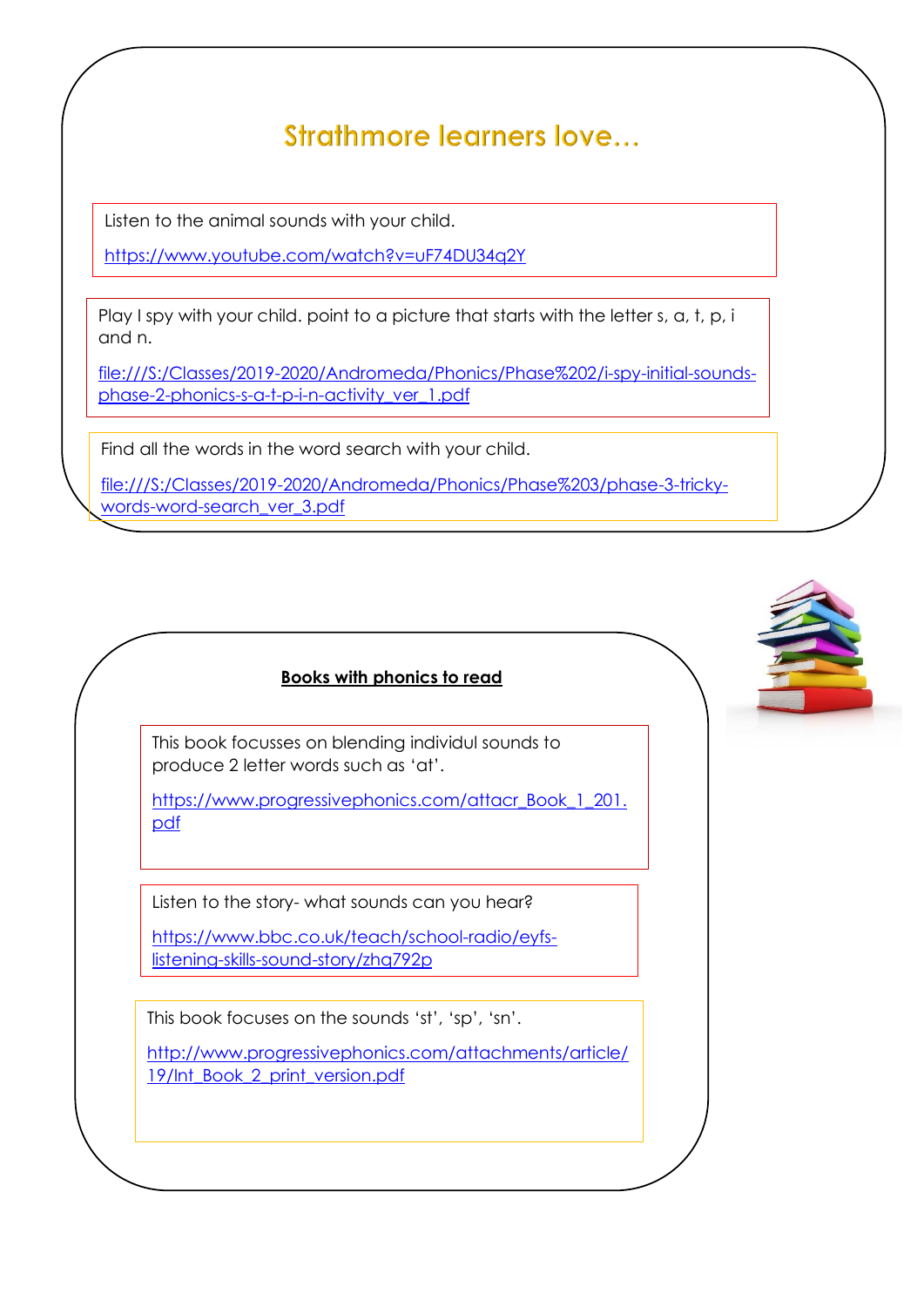# Strathmore learners love...

to play games Listen to the animal sounds with your child.

<https://www.youtube.com/watch?v=uF74DU34q2Y>

Play I spy with your child, point to a picture that starts with the letter s, a, t, p, i and n.

[file:///S:/Classes/2019-2020/Andromeda/Phonics/Phase%202/i-spy-initial-sounds](file://///fs01/staff_area/Classes/2019-2020/Andromeda/Phonics/Phase%202/i-spy-initial-sounds-phase-2-phonics-s-a-t-p-i-n-activity_ver_1.pdf)[phase-2-phonics-s-a-t-p-i-n-activity\\_ver\\_1.pdf](file://///fs01/staff_area/Classes/2019-2020/Andromeda/Phonics/Phase%202/i-spy-initial-sounds-phase-2-phonics-s-a-t-p-i-n-activity_ver_1.pdf)

Find all the words in the word search with your child.

[file:///S:/Classes/2019-2020/Andromeda/Phonics/Phase%203/phase-3-tricky](file://///fs01/staff_area/Classes/2019-2020/Andromeda/Phonics/Phase%203/phase-3-tricky-words-word-search_ver_3.pdf)[words-word-search\\_ver\\_3.pdf](file://///fs01/staff_area/Classes/2019-2020/Andromeda/Phonics/Phase%203/phase-3-tricky-words-word-search_ver_3.pdf)

## **Books with phonics to read**

This book focusses on blending individul sounds to produce 2 letter words such as 'at'.

[https://www.progressivephonics.com/attacr\\_Book\\_1\\_201.](https://www.progressivephonics.com/attacr_Book_1_201.pdf) [pdf](https://www.progressivephonics.com/attacr_Book_1_201.pdf)

Listen to the story- what sounds can you hear?

[https://www.bbc.co.uk/teach/school-radio/eyfs](https://www.bbc.co.uk/teach/school-radio/eyfs-listening-skills-sound-story/zhq792p)[listening-skills-sound-story/zhq792p](https://www.bbc.co.uk/teach/school-radio/eyfs-listening-skills-sound-story/zhq792p)

This book focuses on the sounds 'st', 'sp', 'sn'.

[http://www.progressivephonics.com/attachments/article/](http://www.progressivephonics.com/attachments/article/19/Int_Book_2_print_version.pdf) [19/Int\\_Book\\_2\\_print\\_version.pdf](http://www.progressivephonics.com/attachments/article/19/Int_Book_2_print_version.pdf)

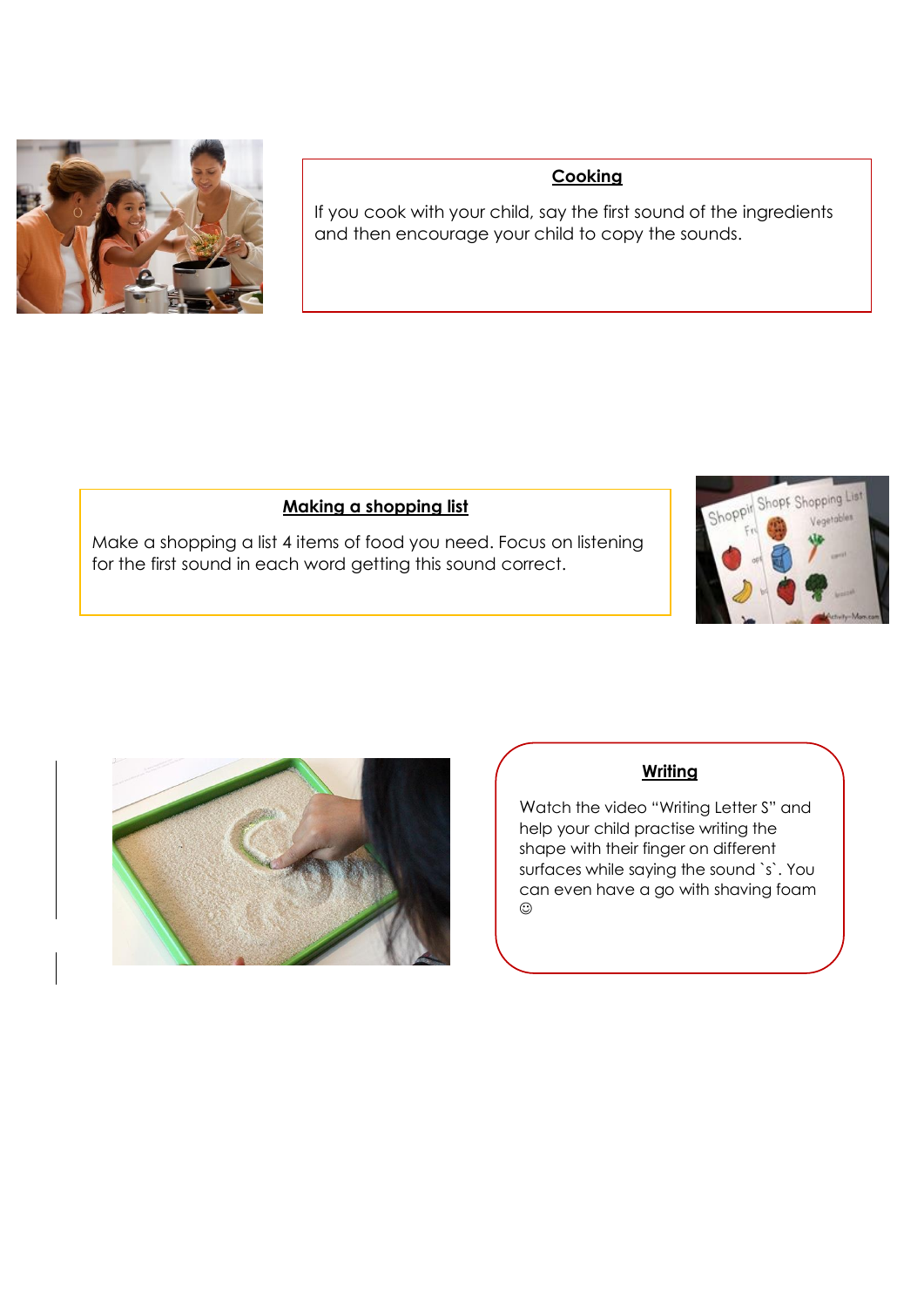

## **Cooking**

If you cook with your child, say the first sound of the ingredients and then encourage your child to copy the sounds.

## **Making a shopping list**

Make a shopping a list 4 items of food you need. Focus on listening for the first sound in each word getting this sound correct.





## **Writing**

Watch the video "Writing Letter S" and help your child practise writing the shape with their finger on different surfaces while saying the sound `s`. You can even have a go with shaving foam  $\odot$